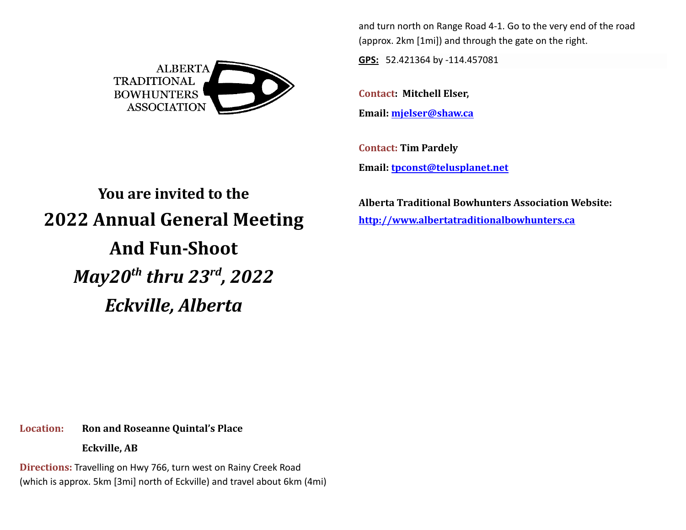

and turn north on Range Road 4-1. Go to the very end of the road (approx. 2km [1mi]) and through the gate on the right.

**GPS:** 52.421364 by -114.457081

**Contact: Mitchell Elser,**

**Email: [mjelser@shaw.ca](mailto:mjelser@shaw.ca)**

**Contact: Tim Pardely Email: [tpconst@telusplanet.net](mailto:tpconst@telusplanet.net)**

# **You are invited to the 2022 Annual General Meeting And Fun-Shoot** *May20 th thru 23 rd , 2022 Eckville, Alberta*

**Alberta Traditional Bowhunters Association Website: <http://www.albertatraditionalbowhunters.ca>**

**Location: Ron and Roseanne Quintal's Place**

**Eckville, AB**

**Directions:** Travelling on Hwy 766, turn west on Rainy Creek Road (which is approx. 5km [3mi] north of Eckville) and travel about 6km (4mi)